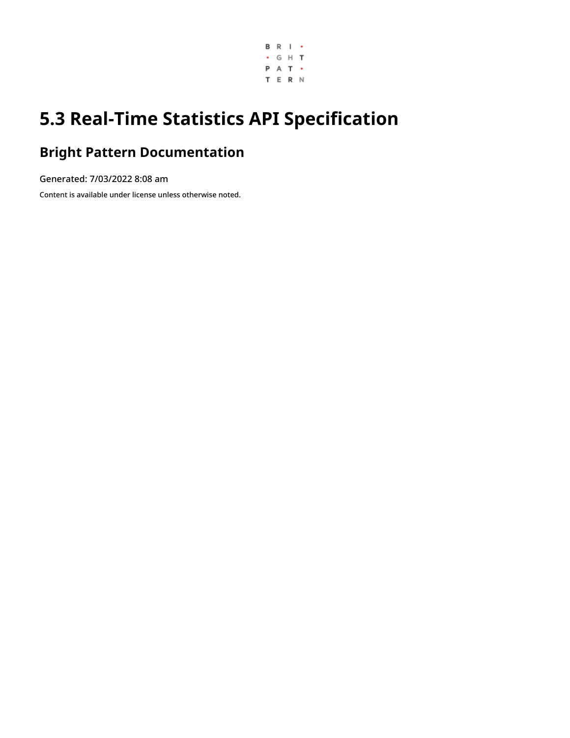

# **5.3 Real-Time Statistics API Specification**

## **Bright Pattern Documentation**

Generated: 7/03/2022 8:08 am

Content is available under license unless otherwise noted.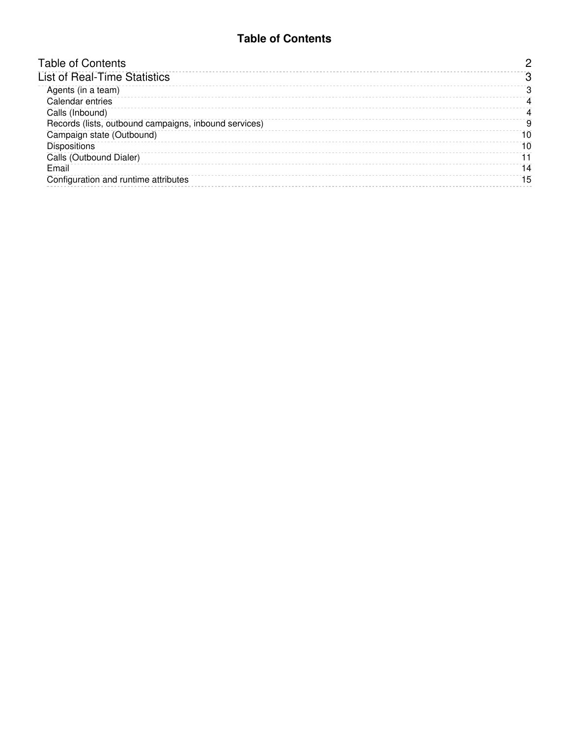#### **Table of Contents**

<span id="page-1-0"></span>

| <b>Table of Contents</b>                              |    |
|-------------------------------------------------------|----|
| <b>List of Real-Time Statistics</b>                   |    |
| Agents (in a team)                                    | 3  |
| Calendar entries                                      | 4  |
| Calls (Inbound)                                       | 4  |
| Records (lists, outbound campaigns, inbound services) | 9  |
| Campaign state (Outbound)                             | 10 |
| <b>Dispositions</b>                                   | 10 |
| Calls (Outbound Dialer)                               | 11 |
| Email                                                 | 14 |
| Configuration and runtime attributes                  | 15 |
|                                                       |    |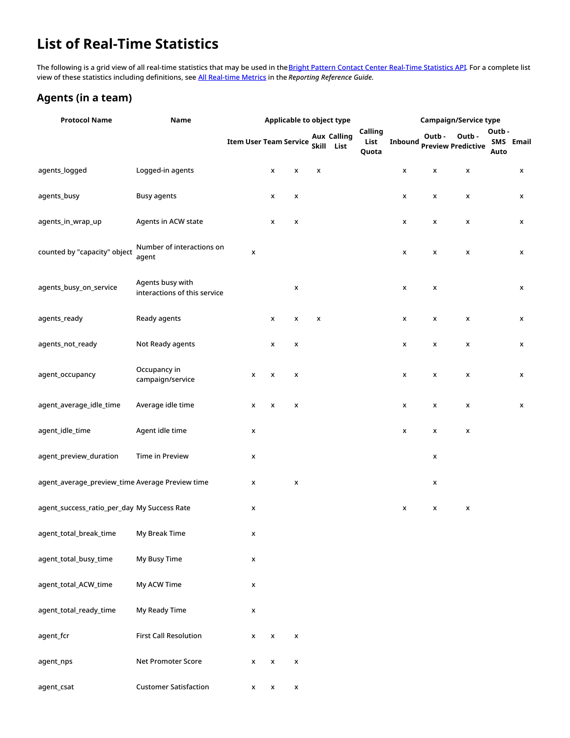## <span id="page-2-0"></span>**List of Real-Time Statistics**

The following is a grid view of all real-time statistics that may be used in the **Bright Pattern Contact Center [Real-Time](https://documenter.getpostman.com/view/6735878/T1DwbtSk?version=latest%7C) Statistics API**. For a complete list view of these statistics including definitions, see All [Real-time](https://help.brightpattern.com/5.3:Reporting-reference-guide/AllMetrics#Wallboard_Metrics) Metrics in the *Reporting Reference Guide*.

#### <span id="page-2-1"></span>**Agents (in a team)**

| <b>Protocol Name</b>                            | Name                                             |                               |                    |                    |   | Applicable to object type        |                          | <b>Campaign/Service type</b> |        |                                    |               |           |  |
|-------------------------------------------------|--------------------------------------------------|-------------------------------|--------------------|--------------------|---|----------------------------------|--------------------------|------------------------------|--------|------------------------------------|---------------|-----------|--|
|                                                 |                                                  | <b>Item User Team Service</b> |                    |                    |   | <b>Aux Calling</b><br>Skill List | Calling<br>List<br>Quota | Inbound                      | Outb - | Outb-<br><b>Preview Predictive</b> | Outb-<br>Auto | SMS Email |  |
| agents_logged                                   | Logged-in agents                                 |                               | x                  | x                  | x |                                  |                          | x                            | x      | x                                  |               | x         |  |
| agents_busy                                     | <b>Busy agents</b>                               |                               | X                  | X                  |   |                                  |                          | X                            | x      | X                                  |               | x         |  |
| agents_in_wrap_up                               | Agents in ACW state                              |                               | x                  | x                  |   |                                  |                          | x                            | x      | X                                  |               | x         |  |
| counted by "capacity" object                    | Number of interactions on<br>agent               | X                             |                    |                    |   |                                  |                          | X                            | x      | x                                  |               | x         |  |
| agents_busy_on_service                          | Agents busy with<br>interactions of this service |                               |                    | x                  |   |                                  |                          | x                            | x      |                                    |               | x         |  |
| agents_ready                                    | Ready agents                                     |                               | X                  | x                  | x |                                  |                          | X                            | x      | x                                  |               | x         |  |
| agents_not_ready                                | Not Ready agents                                 |                               | X                  | X                  |   |                                  |                          | x                            | x      | x                                  |               | x         |  |
| agent_occupancy                                 | Occupancy in<br>campaign/service                 | x                             | X                  | x                  |   |                                  |                          | X                            | x      | x                                  |               | x         |  |
| agent_average_idle_time                         | Average idle time                                | X                             | X                  | x                  |   |                                  |                          | X                            | x      | x                                  |               | x         |  |
| agent_idle_time                                 | Agent idle time                                  | x                             |                    |                    |   |                                  |                          | X                            | X      | x                                  |               |           |  |
| agent_preview_duration                          | Time in Preview                                  | x                             |                    |                    |   |                                  |                          |                              | X      |                                    |               |           |  |
| agent_average_preview_time Average Preview time |                                                  | x                             |                    | x                  |   |                                  |                          |                              | x      |                                    |               |           |  |
| agent_success_ratio_per_day My Success Rate     |                                                  | X                             |                    |                    |   |                                  |                          | X                            | x      | x                                  |               |           |  |
| agent_total_break_time                          | My Break Time                                    | x                             |                    |                    |   |                                  |                          |                              |        |                                    |               |           |  |
| agent_total_busy_time                           | My Busy Time                                     | X                             |                    |                    |   |                                  |                          |                              |        |                                    |               |           |  |
| agent_total_ACW_time                            | My ACW Time                                      | X                             |                    |                    |   |                                  |                          |                              |        |                                    |               |           |  |
| agent_total_ready_time                          | My Ready Time                                    | x                             |                    |                    |   |                                  |                          |                              |        |                                    |               |           |  |
| agent_fcr                                       | <b>First Call Resolution</b>                     | X                             | X                  | x                  |   |                                  |                          |                              |        |                                    |               |           |  |
| agent_nps                                       | Net Promoter Score                               | X                             | X                  | X                  |   |                                  |                          |                              |        |                                    |               |           |  |
| agent_csat                                      | <b>Customer Satisfaction</b>                     | x                             | $\pmb{\mathsf{x}}$ | $\pmb{\mathsf{x}}$ |   |                                  |                          |                              |        |                                    |               |           |  |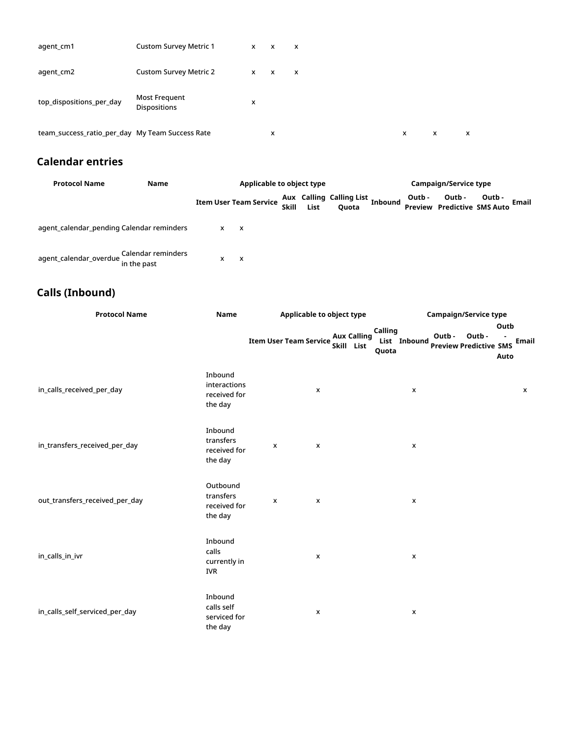| agent_cm1                                       | <b>Custom Survey Metric 1</b>               | $x \times$ |              | $\mathsf{x}$ |   |   |   |
|-------------------------------------------------|---------------------------------------------|------------|--------------|--------------|---|---|---|
| agent_cm2                                       | <b>Custom Survey Metric 2</b>               | $x \times$ | $\mathsf{x}$ |              |   |   |   |
| top_dispositions_per_day                        | <b>Most Frequent</b><br><b>Dispositions</b> | x          |              |              |   |   |   |
| team_success_ratio_per_day My Team Success Rate |                                             |            | x            |              | x | x | x |

### <span id="page-3-0"></span>**Calendar entries**

| <b>Protocol Name</b>                      | Name                              | Applicable to object type |                               |       |      |                                          |         | <b>Campaign/Service type</b> |                                              |        |       |
|-------------------------------------------|-----------------------------------|---------------------------|-------------------------------|-------|------|------------------------------------------|---------|------------------------------|----------------------------------------------|--------|-------|
|                                           |                                   |                           | <b>Item User Team Service</b> | Skill | List | <b>Aux Calling Calling List</b><br>Quota | Inbound | Outb -                       | Outb -<br><b>Preview Predictive SMS Auto</b> | Outb - | Email |
| agent_calendar_pending Calendar reminders |                                   | x                         | $\mathsf{x}$                  |       |      |                                          |         |                              |                                              |        |       |
| agent_calendar_overdue                    | Calendar reminders<br>in the past | x                         | X                             |       |      |                                          |         |                              |                                              |        |       |

### <span id="page-3-1"></span>**Calls (Inbound)**

| <b>Protocol Name</b>           | <b>Name</b>                                        | Applicable to object type                                         |                                  | <b>Campaign/Service type</b>                                             |  |  |  |  |
|--------------------------------|----------------------------------------------------|-------------------------------------------------------------------|----------------------------------|--------------------------------------------------------------------------|--|--|--|--|
|                                |                                                    | <b>Aux Calling</b><br><b>Item User Team Service</b><br>Skill List | Calling<br>List Inbound<br>Quota | Outb<br>Outb-<br>Outb-<br>Email<br><b>Preview Predictive SMS</b><br>Auto |  |  |  |  |
| in_calls_received_per_day      | Inbound<br>interactions<br>received for<br>the day | X                                                                 | X                                | X                                                                        |  |  |  |  |
| in_transfers_received_per_day  | Inbound<br>transfers<br>received for<br>the day    | $\pmb{\mathsf{x}}$<br>X                                           | X                                |                                                                          |  |  |  |  |
| out_transfers_received_per_day | Outbound<br>transfers<br>received for<br>the day   | X<br>X                                                            | X                                |                                                                          |  |  |  |  |
| in_calls_in_ivr                | Inbound<br>calls<br>currently in<br>IVR            | X                                                                 | X                                |                                                                          |  |  |  |  |
| in_calls_self_serviced_per_day | Inbound<br>calls self<br>serviced for<br>the day   | X                                                                 | X                                |                                                                          |  |  |  |  |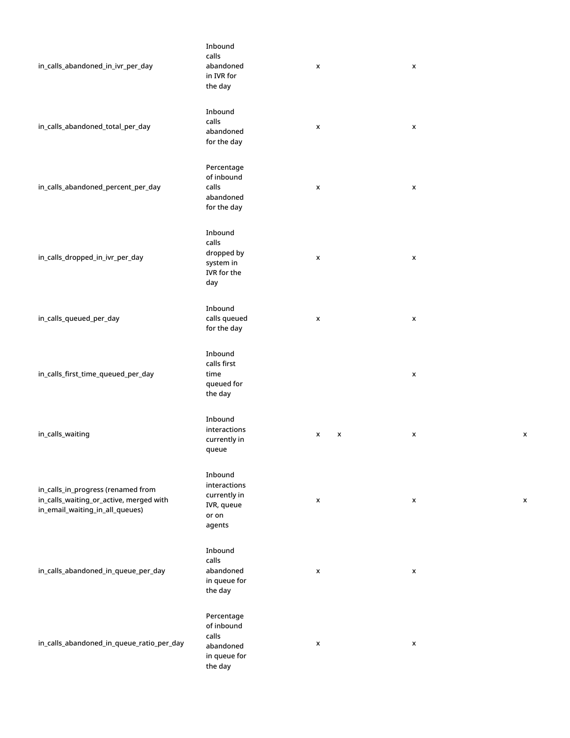| in_calls_abandoned_in_ivr_per_day                                                                                | Inbound<br>calls<br>abandoned<br>in IVR for<br>the day                    | x      | $\pmb{\times}$     |
|------------------------------------------------------------------------------------------------------------------|---------------------------------------------------------------------------|--------|--------------------|
| in_calls_abandoned_total_per_day                                                                                 | Inbound<br>calls<br>abandoned<br>for the day                              | x      | X                  |
| in_calls_abandoned_percent_per_day                                                                               | Percentage<br>of inbound<br>calls<br>abandoned<br>for the day             | x      | $\pmb{\mathsf{x}}$ |
| in_calls_dropped_in_ivr_per_day                                                                                  | Inbound<br>calls<br>dropped by<br>system in<br>IVR for the<br>day         | x      | X                  |
| in_calls_queued_per_day                                                                                          | Inbound<br>calls queued<br>for the day                                    | x      | x                  |
| in_calls_first_time_queued_per_day                                                                               | Inbound<br>calls first<br>time<br>queued for<br>the day                   |        | x                  |
| in_calls_waiting                                                                                                 | Inbound<br>interactions<br>currently in<br>queue                          | X<br>x | X<br>х             |
| in_calls_in_progress (renamed from<br>in_calls_waiting_or_active, merged with<br>in_email_waiting_in_all_queues) | Inbound<br>interactions<br>currently in<br>IVR, queue<br>or on<br>agents  | X      | X<br>X             |
| in_calls_abandoned_in_queue_per_day                                                                              | Inbound<br>calls<br>abandoned<br>in queue for<br>the day                  | x      | X                  |
| in_calls_abandoned_in_queue_ratio_per_day                                                                        | Percentage<br>of inbound<br>calls<br>abandoned<br>in queue for<br>the day | X      | X                  |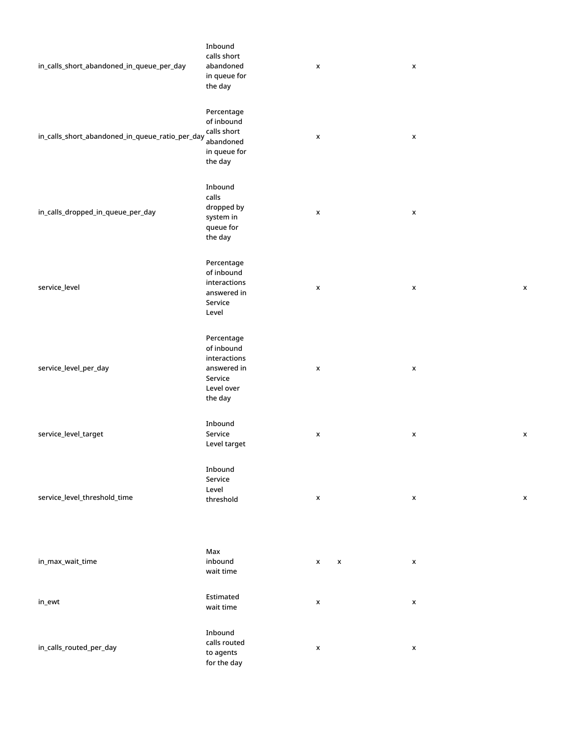| in_calls_short_abandoned_in_queue_per_day       | Inbound<br>calls short<br>abandoned<br>in queue for<br>the day                              | $\pmb{\mathsf{x}}$ | $\pmb{\mathsf{x}}$ |                    |
|-------------------------------------------------|---------------------------------------------------------------------------------------------|--------------------|--------------------|--------------------|
| in_calls_short_abandoned_in_queue_ratio_per_day | Percentage<br>of inbound<br>calls short<br>abandoned<br>in queue for<br>the day             | $\pmb{\mathsf{x}}$ | $\pmb{\mathsf{x}}$ |                    |
| in_calls_dropped_in_queue_per_day               | Inbound<br>calls<br>dropped by<br>system in<br>queue for<br>the day                         | $\pmb{\mathsf{x}}$ | $\pmb{\mathsf{x}}$ |                    |
| service_level                                   | Percentage<br>of inbound<br>interactions<br>answered in<br>Service<br>Level                 | X                  | x                  | $\pmb{\times}$     |
| service_level_per_day                           | Percentage<br>of inbound<br>interactions<br>answered in<br>Service<br>Level over<br>the day | $\pmb{\mathsf{x}}$ | $\pmb{\mathsf{x}}$ |                    |
| service_level_target                            | Inbound<br>Service<br>Level target                                                          | X                  | x                  | X                  |
| service_level_threshold_time                    | Inbound<br>Service<br>Level<br>threshold                                                    | $\pmb{\mathsf{x}}$ | $\pmb{\mathsf{x}}$ | $\pmb{\mathsf{x}}$ |
| in_max_wait_time                                | Max<br>inbound<br>wait time                                                                 | X<br>x             | $\pmb{\mathsf{x}}$ |                    |
| in_ewt                                          | Estimated<br>wait time                                                                      | $\pmb{\mathsf{x}}$ | X                  |                    |
| in_calls_routed_per_day                         | Inbound<br>calls routed<br>to agents<br>for the day                                         | $\pmb{\mathsf{x}}$ | $\pmb{\mathsf{x}}$ |                    |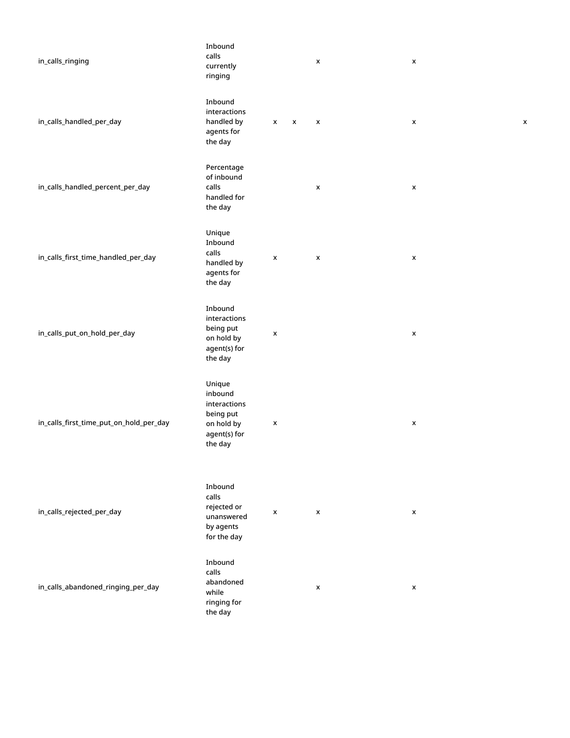| in_calls_ringing                        | Inbound<br>calls<br>currently<br>ringing                                                |        | X | X                  |   |
|-----------------------------------------|-----------------------------------------------------------------------------------------|--------|---|--------------------|---|
| in_calls_handled_per_day                | Inbound<br>interactions<br>handled by<br>agents for<br>the day                          | X<br>X | X | $\pmb{\mathsf{x}}$ | X |
| in_calls_handled_percent_per_day        | Percentage<br>of inbound<br>calls<br>handled for<br>the day                             |        | X | X                  |   |
| in_calls_first_time_handled_per_day     | Unique<br>Inbound<br>calls<br>handled by<br>agents for<br>the day                       | X      | X | $\pmb{\mathsf{x}}$ |   |
| in_calls_put_on_hold_per_day            | Inbound<br>interactions<br>being put<br>on hold by<br>agent(s) for<br>the day           | x      |   | $\pmb{\mathsf{x}}$ |   |
| in_calls_first_time_put_on_hold_per_day | Unique<br>inbound<br>interactions<br>being put<br>on hold by<br>agent(s) for<br>the day | X      |   | $\pmb{\mathsf{x}}$ |   |
| in_calls_rejected_per_day               | Inbound<br>calls<br>rejected or<br>unanswered<br>by agents<br>for the day               | X      | X | $\pmb{\mathsf{x}}$ |   |
| in_calls_abandoned_ringing_per_day      | Inbound<br>calls<br>abandoned<br>while<br>ringing for<br>the day                        |        | X | X                  |   |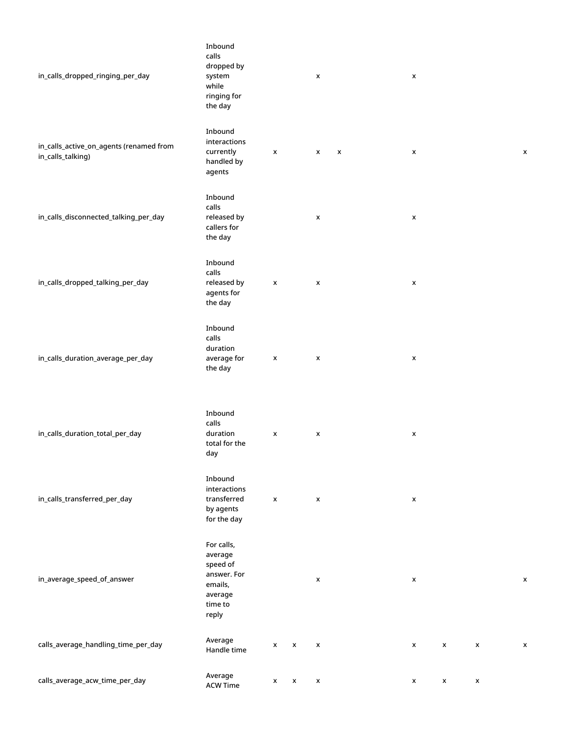| in_calls_dropped_ringing_per_day                             | Inbound<br>calls<br>dropped by<br>system<br>while<br>ringing for<br>the day                |                    |   | X                  |   | $\pmb{\mathsf{x}}$ |   |   |                    |
|--------------------------------------------------------------|--------------------------------------------------------------------------------------------|--------------------|---|--------------------|---|--------------------|---|---|--------------------|
| in_calls_active_on_agents (renamed from<br>in_calls_talking) | Inbound<br>interactions<br>currently<br>handled by<br>agents                               | $\pmb{\mathsf{x}}$ |   | x                  | X | $\pmb{\mathsf{x}}$ |   |   | X                  |
| in_calls_disconnected_talking_per_day                        | Inbound<br>calls<br>released by<br>callers for<br>the day                                  |                    |   | X                  |   | x                  |   |   |                    |
| in_calls_dropped_talking_per_day                             | Inbound<br>calls<br>released by<br>agents for<br>the day                                   | $\pmb{\mathsf{x}}$ |   | X                  |   | x                  |   |   |                    |
| in_calls_duration_average_per_day                            | Inbound<br>calls<br>duration<br>average for<br>the day                                     | X                  |   | X                  |   | X                  |   |   |                    |
| in_calls_duration_total_per_day                              | Inbound<br>calls<br>duration<br>total for the<br>day                                       | X                  |   | X                  |   | $\pmb{\mathsf{x}}$ |   |   |                    |
| in_calls_transferred_per_day                                 | Inbound<br>interactions<br>transferred<br>by agents<br>for the day                         | $\pmb{\mathsf{x}}$ |   | X                  |   | $\pmb{\mathsf{x}}$ |   |   |                    |
| in_average_speed_of_answer                                   | For calls,<br>average<br>speed of<br>answer. For<br>emails,<br>average<br>time to<br>reply |                    |   | x                  |   | $\pmb{\mathsf{x}}$ |   |   | X                  |
| calls_average_handling_time_per_day                          | Average<br>Handle time                                                                     | X                  | X | $\pmb{\mathsf{x}}$ |   | X                  | x | X | $\pmb{\mathsf{x}}$ |
| calls_average_acw_time_per_day                               | Average<br><b>ACW Time</b>                                                                 | X                  | X | x                  |   | x                  | X | X |                    |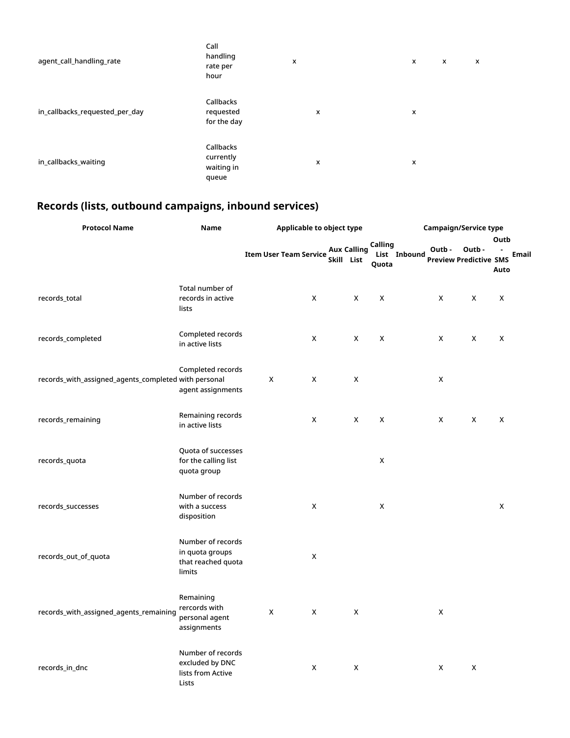| agent_call_handling_rate       | Call<br>handling<br>rate per<br>hour          | x |   | x | X | $\boldsymbol{\mathsf{x}}$ |
|--------------------------------|-----------------------------------------------|---|---|---|---|---------------------------|
| in_callbacks_requested_per_day | Callbacks<br>requested<br>for the day         |   | X | x |   |                           |
| in_callbacks_waiting           | Callbacks<br>currently<br>waiting in<br>queue |   | X | x |   |                           |

## <span id="page-8-0"></span>**Records (lists, outbound campaigns, inbound services)**

| <b>Protocol Name</b>                                 | Name                                                                 |                               | Applicable to object type |                                  |                    |              | <b>Campaign/Service type</b> |                                        |                              |  |  |
|------------------------------------------------------|----------------------------------------------------------------------|-------------------------------|---------------------------|----------------------------------|--------------------|--------------|------------------------------|----------------------------------------|------------------------------|--|--|
|                                                      |                                                                      | <b>Item User Team Service</b> |                           | <b>Aux Calling</b><br>Skill List | Calling<br>Quota   | List Inbound | Outb-                        | Outb-<br><b>Preview Predictive SMS</b> | Outb<br><b>Email</b><br>Auto |  |  |
| records_total                                        | Total number of<br>records in active<br>lists                        |                               | X                         | X                                | $\pmb{\mathsf{X}}$ |              | X                            | X                                      | X                            |  |  |
| records_completed                                    | Completed records<br>in active lists                                 |                               | X                         | X                                | X                  |              | X                            | X                                      | X                            |  |  |
| records_with_assigned_agents_completed with personal | Completed records<br>agent assignments                               | X                             | X                         | X                                |                    |              | X                            |                                        |                              |  |  |
| records_remaining                                    | Remaining records<br>in active lists                                 |                               | X                         | X                                | $\mathsf X$        |              | X                            | X                                      | X                            |  |  |
| records_quota                                        | Quota of successes<br>for the calling list<br>quota group            |                               |                           |                                  | X                  |              |                              |                                        |                              |  |  |
| records_successes                                    | Number of records<br>with a success<br>disposition                   |                               | X                         |                                  | X                  |              |                              |                                        | X                            |  |  |
| records_out_of_quota                                 | Number of records<br>in quota groups<br>that reached quota<br>limits |                               | X                         |                                  |                    |              |                              |                                        |                              |  |  |
| records_with_assigned_agents_remaining               | Remaining<br>rercords with<br>personal agent<br>assignments          | $\mathsf X$                   | X                         | X                                |                    |              | $\pmb{\mathsf{X}}$           |                                        |                              |  |  |
| records_in_dnc                                       | Number of records<br>excluded by DNC<br>lists from Active<br>Lists   |                               | X                         | X                                |                    |              | X                            | X                                      |                              |  |  |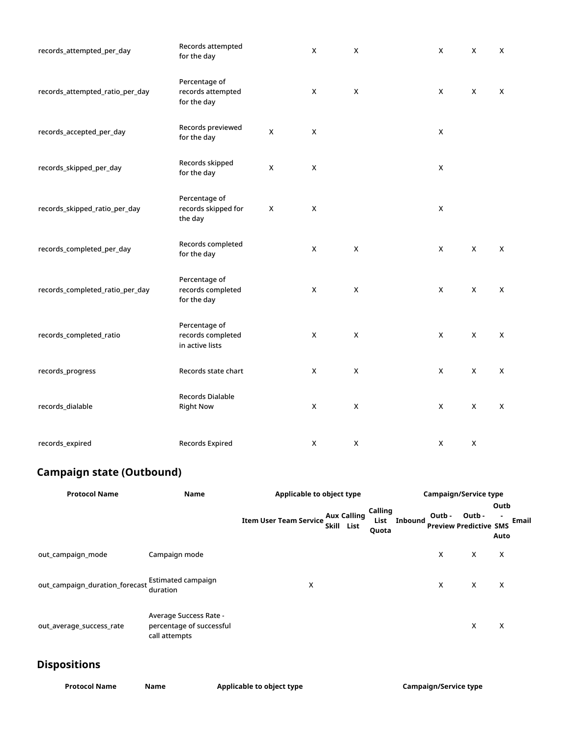| records_attempted_per_day       | Records attempted<br>for the day                      |   | X | X              | X | X | X |
|---------------------------------|-------------------------------------------------------|---|---|----------------|---|---|---|
| records_attempted_ratio_per_day | Percentage of<br>records attempted<br>for the day     |   | X | $\mathsf X$    | X | X | X |
| records_accepted_per_day        | Records previewed<br>for the day                      | X | X |                | X |   |   |
| records_skipped_per_day         | Records skipped<br>for the day                        | X | X |                | X |   |   |
| records_skipped_ratio_per_day   | Percentage of<br>records skipped for<br>the day       | X | X |                | X |   |   |
| records_completed_per_day       | Records completed<br>for the day                      |   | X | X              | X | X | X |
| records_completed_ratio_per_day | Percentage of<br>records completed<br>for the day     |   | X | X              | X | X | X |
| records_completed_ratio         | Percentage of<br>records completed<br>in active lists |   | X | $\pmb{\times}$ | X | X | X |
| records_progress                | Records state chart                                   |   | X | X              | X | X | X |
| records_dialable                | Records Dialable<br><b>Right Now</b>                  |   | X | X              | X | X | X |
| records_expired                 | Records Expired                                       |   | X | $\mathsf X$    | X | X |   |

## <span id="page-9-0"></span>**Campaign state (Outbound)**

| <b>Protocol Name</b>           | Name                                                                | Applicable to object type                                                                                                 |                          | <b>Campaign/Service type</b> |        |                                         |                       |  |  |
|--------------------------------|---------------------------------------------------------------------|---------------------------------------------------------------------------------------------------------------------------|--------------------------|------------------------------|--------|-----------------------------------------|-----------------------|--|--|
|                                |                                                                     | Item User Team Service $\frac{\mathsf{Aux}}{\mathsf{A} \cdot \mathsf{B} \cdot \mathsf{A} \cdot \mathsf{B}}$<br>Skill List | Calling<br>List<br>Quota | <b>Inbound</b>               | Outb - | Outb -<br><b>Preview Predictive SMS</b> | Outb<br>Email<br>Auto |  |  |
| out campaign mode              | Campaign mode                                                       |                                                                                                                           |                          |                              | X      | X                                       | $\times$              |  |  |
| out_campaign_duration_forecast | Estimated campaign<br>duration                                      | X                                                                                                                         |                          |                              | X      | X                                       | X                     |  |  |
| out average success rate       | Average Success Rate -<br>percentage of successful<br>call attempts |                                                                                                                           |                          |                              |        | X                                       | х                     |  |  |

## <span id="page-9-1"></span>**Dispositions**

| <b>Protocol Name</b> | Name | Applicable to object type | <b>Campaign/Service type</b> |
|----------------------|------|---------------------------|------------------------------|
|                      |      |                           |                              |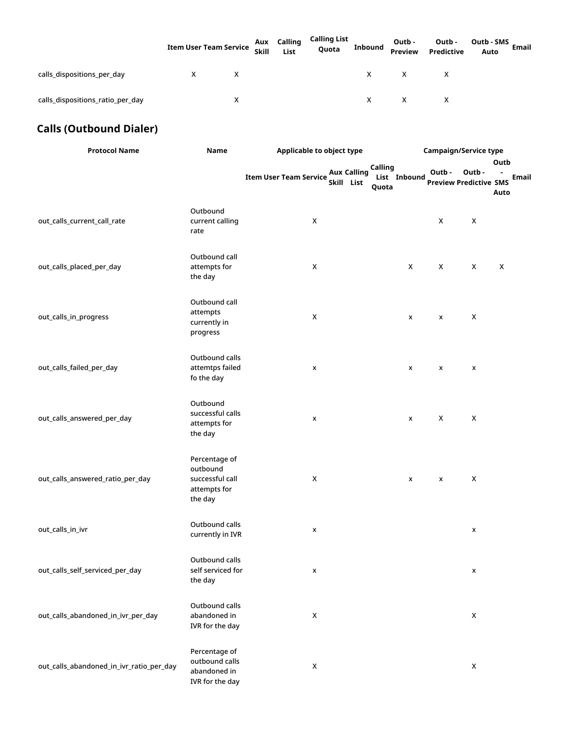|                                  | <b>Item User Team Service</b> | Aux Calling<br>Skill List | Calling List<br>Quota | <b>Inbound</b> | Outb -<br>Preview | Outb -<br>Predictive | Outb - SMS<br>Email<br>Auto |
|----------------------------------|-------------------------------|---------------------------|-----------------------|----------------|-------------------|----------------------|-----------------------------|
| calls dispositions per day       | X                             |                           |                       | X.             | X                 | $\mathsf{X}$         |                             |
| calls dispositions ratio per day | х                             |                           |                       | X.             | $\mathsf{X}$      | $\mathsf{X}$         |                             |

## <span id="page-10-0"></span>**Calls (Outbound Dialer)**

| <b>Protocol Name</b>                     | Name                                                                    | Applicable to object type                   |                                        |              | Campaign/Service type |                                        |                   |              |  |  |
|------------------------------------------|-------------------------------------------------------------------------|---------------------------------------------|----------------------------------------|--------------|-----------------------|----------------------------------------|-------------------|--------------|--|--|
|                                          |                                                                         | <b>Item User Team Service</b><br>Skill List | Calling<br><b>Aux Calling</b><br>Quota | List Inbound | Outb-                 | Outb-<br><b>Preview Predictive SMS</b> | Outb<br>٠<br>Auto | <b>Email</b> |  |  |
| out_calls_current_call_rate              | Outbound<br>current calling<br>rate                                     | X                                           |                                        |              | X                     | X                                      |                   |              |  |  |
| out_calls_placed_per_day                 | Outbound call<br>attempts for<br>the day                                | X                                           |                                        | X            | X                     | X                                      | X                 |              |  |  |
| out_calls_in_progress                    | Outbound call<br>attempts<br>currently in<br>progress                   | X                                           |                                        | X            | X                     | X                                      |                   |              |  |  |
| out_calls_failed_per_day                 | Outbound calls<br>attemtps failed<br>fo the day                         | X                                           |                                        | x            | x                     | x                                      |                   |              |  |  |
| out_calls_answered_per_day               | Outbound<br>successful calls<br>attempts for<br>the day                 | x                                           |                                        | x            | X                     | X                                      |                   |              |  |  |
| out_calls_answered_ratio_per_day         | Percentage of<br>outbound<br>successful call<br>attempts for<br>the day | X                                           |                                        | X            | X                     | X                                      |                   |              |  |  |
| out_calls_in_ivr                         | Outbound calls<br>currently in IVR                                      | X                                           |                                        |              |                       | X                                      |                   |              |  |  |
| out_calls_self_serviced_per_day          | Outbound calls<br>self serviced for<br>the day                          | X                                           |                                        |              |                       | $\pmb{\mathsf{x}}$                     |                   |              |  |  |
| out_calls_abandoned_in_ivr_per_day       | Outbound calls<br>abandoned in<br>IVR for the day                       | $\pmb{\mathsf{X}}$                          |                                        |              |                       | $\mathsf X$                            |                   |              |  |  |
| out_calls_abandoned_in_ivr_ratio_per_day | Percentage of<br>outbound calls<br>abandoned in<br>IVR for the day      | $\mathsf X$                                 |                                        |              |                       | $\pmb{\times}$                         |                   |              |  |  |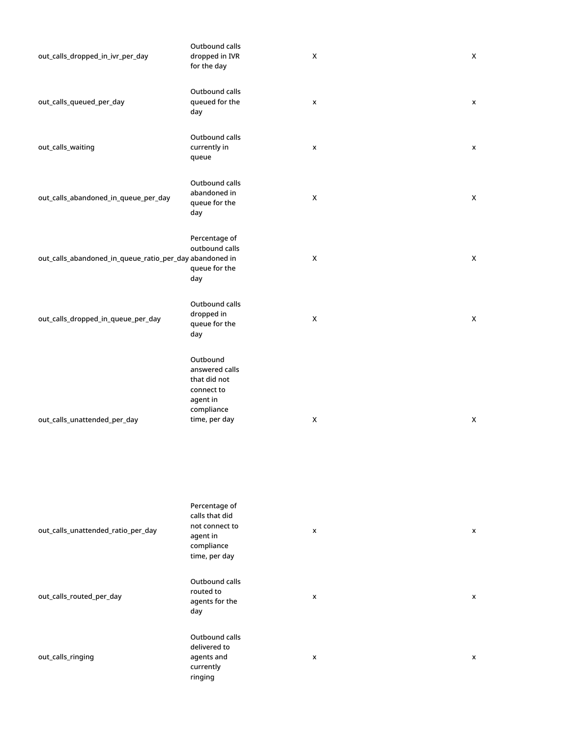| out_calls_dropped_in_ivr_per_day                        | Outbound calls<br>dropped in IVR<br>for the day                                                     | X              | X                  |
|---------------------------------------------------------|-----------------------------------------------------------------------------------------------------|----------------|--------------------|
| out_calls_queued_per_day                                | Outbound calls<br>queued for the<br>day                                                             | X              | x                  |
| out_calls_waiting                                       | Outbound calls<br>currently in<br>queue                                                             | X              | $\pmb{\mathsf{x}}$ |
| out_calls_abandoned_in_queue_per_day                    | Outbound calls<br>abandoned in<br>queue for the<br>day                                              | X              | X                  |
| out_calls_abandoned_in_queue_ratio_per_day abandoned in | Percentage of<br>outbound calls<br>queue for the<br>day                                             | $\pmb{\times}$ | X                  |
| out_calls_dropped_in_queue_per_day                      | Outbound calls<br>dropped in<br>queue for the<br>day                                                | X              | X                  |
| out_calls_unattended_per_day                            | Outbound<br>answered calls<br>that did not<br>connect to<br>agent in<br>compliance<br>time, per day | X              | X                  |

| out_calls_unattended_ratio_per_day | Percentage of<br>calls that did<br>not connect to<br>agent in<br>compliance<br>time, per day | x              | x |
|------------------------------------|----------------------------------------------------------------------------------------------|----------------|---|
| out_calls_routed_per_day           | Outbound calls<br>routed to<br>agents for the<br>day                                         | x              | x |
| out_calls_ringing                  | Outbound calls<br>delivered to<br>agents and<br>currently<br>ringing                         | $\pmb{\times}$ | x |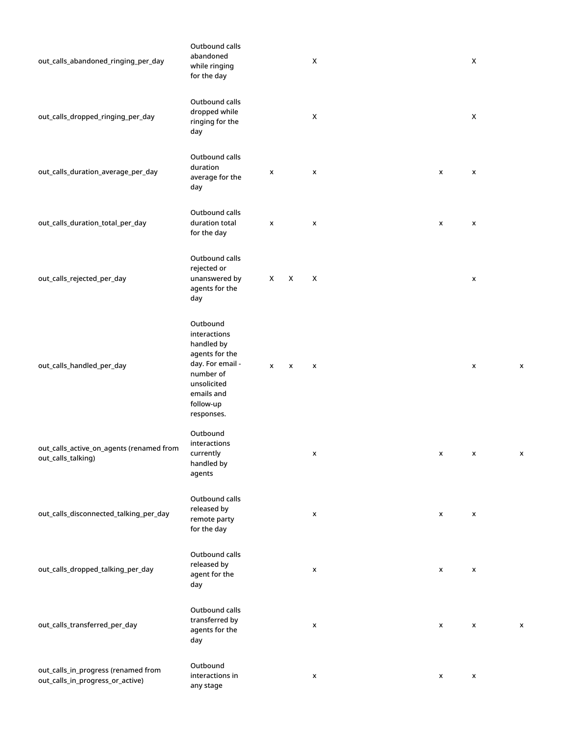| out_calls_abandoned_ringing_per_day                                     | Outbound calls<br>abandoned<br>while ringing<br>for the day                                                                                       |                    |   | X |  |   | X                  |   |
|-------------------------------------------------------------------------|---------------------------------------------------------------------------------------------------------------------------------------------------|--------------------|---|---|--|---|--------------------|---|
| out_calls_dropped_ringing_per_day                                       | Outbound calls<br>dropped while<br>ringing for the<br>day                                                                                         |                    |   | X |  |   | X                  |   |
| out_calls_duration_average_per_day                                      | Outbound calls<br>duration<br>average for the<br>day                                                                                              | x                  |   | x |  | X | x                  |   |
| out_calls_duration_total_per_day                                        | Outbound calls<br>duration total<br>for the day                                                                                                   | $\pmb{\mathsf{x}}$ |   | x |  | X | x                  |   |
| out_calls_rejected_per_day                                              | Outbound calls<br>rejected or<br>unanswered by<br>agents for the<br>day                                                                           | X                  | X | X |  |   | x                  |   |
| out_calls_handled_per_day                                               | Outbound<br>interactions<br>handled by<br>agents for the<br>day. For email -<br>number of<br>unsolicited<br>emails and<br>follow-up<br>responses. | X                  | x | x |  |   | x                  | X |
| out_calls_active_on_agents (renamed from<br>out_calls_talking)          | Outbound<br>interactions<br>currently<br>handled by<br>agents                                                                                     |                    |   | x |  | X | x                  | х |
| out_calls_disconnected_talking_per_day                                  | Outbound calls<br>released by<br>remote party<br>for the day                                                                                      |                    |   | x |  | X | x                  |   |
| out_calls_dropped_talking_per_day                                       | Outbound calls<br>released by<br>agent for the<br>day                                                                                             |                    |   | x |  | X | X                  |   |
| out_calls_transferred_per_day                                           | Outbound calls<br>transferred by<br>agents for the<br>day                                                                                         |                    |   | x |  | X | x                  | X |
| out_calls_in_progress (renamed from<br>out_calls_in_progress_or_active) | Outbound<br>interactions in<br>any stage                                                                                                          |                    |   | x |  | X | $\pmb{\mathsf{x}}$ |   |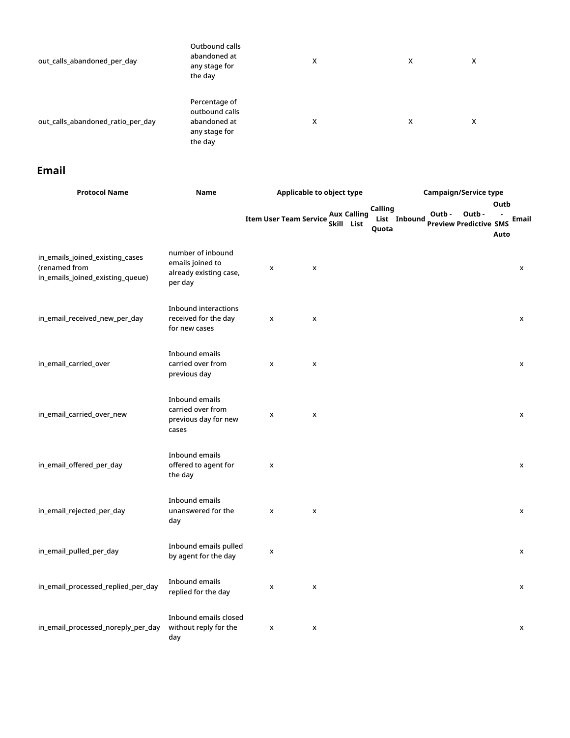| out_calls_abandoned_per_day       | Outbound calls<br>abandoned at<br>any stage for<br>the day                  | X | X | х |
|-----------------------------------|-----------------------------------------------------------------------------|---|---|---|
| out calls abandoned ratio per day | Percentage of<br>outbound calls<br>abandoned at<br>any stage for<br>the day | x | x | х |

## <span id="page-13-0"></span>**Email**

| <b>Protocol Name</b>                                                                 | Name                                                                       | Applicable to object type     |   |            |                    |                  | <b>Campaign/Service type</b> |                                        |        |              |       |  |  |
|--------------------------------------------------------------------------------------|----------------------------------------------------------------------------|-------------------------------|---|------------|--------------------|------------------|------------------------------|----------------------------------------|--------|--------------|-------|--|--|
|                                                                                      |                                                                            | <b>Item User Team Service</b> |   | Skill List | <b>Aux Calling</b> | Calling<br>Quota | List Inbound                 | Outb-<br><b>Preview Predictive SMS</b> | Outb - | Outb<br>Auto | Email |  |  |
| in_emails_joined_existing_cases<br>(renamed from<br>in_emails_joined_existing_queue) | number of inbound<br>emails joined to<br>already existing case,<br>per day | X                             | X |            |                    |                  |                              |                                        |        |              | x     |  |  |
| in_email_received_new_per_day                                                        | Inbound interactions<br>received for the day<br>for new cases              | $\pmb{\times}$                | X |            |                    |                  |                              |                                        |        |              | x     |  |  |
| in_email_carried_over                                                                | Inbound emails<br>carried over from<br>previous day                        | X                             | X |            |                    |                  |                              |                                        |        |              | x     |  |  |
| in_email_carried_over_new                                                            | Inbound emails<br>carried over from<br>previous day for new<br>cases       | X                             | X |            |                    |                  |                              |                                        |        |              | X     |  |  |
| in_email_offered_per_day                                                             | Inbound emails<br>offered to agent for<br>the day                          | $\pmb{\times}$                |   |            |                    |                  |                              |                                        |        |              | X     |  |  |
| in_email_rejected_per_day                                                            | Inbound emails<br>unanswered for the<br>day                                | x                             | X |            |                    |                  |                              |                                        |        |              | x     |  |  |
| in_email_pulled_per_day                                                              | Inbound emails pulled<br>by agent for the day                              | X                             |   |            |                    |                  |                              |                                        |        |              | x     |  |  |
| in_email_processed_replied_per_day                                                   | Inbound emails<br>replied for the day                                      | x                             | X |            |                    |                  |                              |                                        |        |              | x     |  |  |
| in_email_processed_noreply_per_day                                                   | Inbound emails closed<br>without reply for the<br>day                      | X                             | X |            |                    |                  |                              |                                        |        |              | X     |  |  |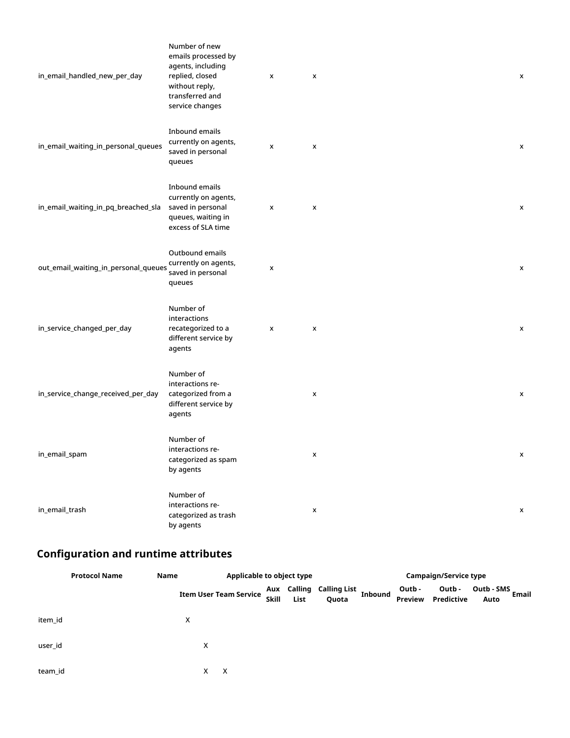| in_email_handled_new_per_day         | Number of new<br>emails processed by<br>agents, including<br>replied, closed<br>without reply,<br>transferred and<br>service changes | X | X                  | x |
|--------------------------------------|--------------------------------------------------------------------------------------------------------------------------------------|---|--------------------|---|
| in_email_waiting_in_personal_queues  | Inbound emails<br>currently on agents,<br>saved in personal<br>queues                                                                | X | X                  | x |
| in_email_waiting_in_pq_breached_sla  | Inbound emails<br>currently on agents,<br>saved in personal<br>queues, waiting in<br>excess of SLA time                              | X | X                  | x |
| out_email_waiting_in_personal_queues | Outbound emails<br>currently on agents,<br>saved in personal<br>queues                                                               | x |                    | x |
| in_service_changed_per_day           | Number of<br>interactions<br>recategorized to a<br>different service by<br>agents                                                    | x | X                  | X |
| in_service_change_received_per_day   | Number of<br>interactions re-<br>categorized from a<br>different service by<br>agents                                                |   | X                  | X |
| in_email_spam                        | Number of<br>interactions re-<br>categorized as spam<br>by agents                                                                    |   | X                  | x |
| in_email_trash                       | Number of<br>interactions re-<br>categorized as trash<br>by agents                                                                   |   | $\pmb{\mathsf{x}}$ | X |

## <span id="page-14-0"></span>**Configuration and runtime attributes**

|         | <b>Protocol Name</b> | Name | Applicable to object type     |              |      |                                   | Campaign/Service type |                   |                      |                             |  |  |
|---------|----------------------|------|-------------------------------|--------------|------|-----------------------------------|-----------------------|-------------------|----------------------|-----------------------------|--|--|
|         |                      |      | <b>Item User Team Service</b> | <b>Skill</b> | List | Aux Calling Calling List<br>Quota | <b>Inbound</b>        | Outb -<br>Preview | Outb -<br>Predictive | Outb - SMS<br>Email<br>Auto |  |  |
| item id |                      |      | х                             |              |      |                                   |                       |                   |                      |                             |  |  |
| user_id |                      |      | х                             |              |      |                                   |                       |                   |                      |                             |  |  |
| team_id |                      |      | X<br>х                        |              |      |                                   |                       |                   |                      |                             |  |  |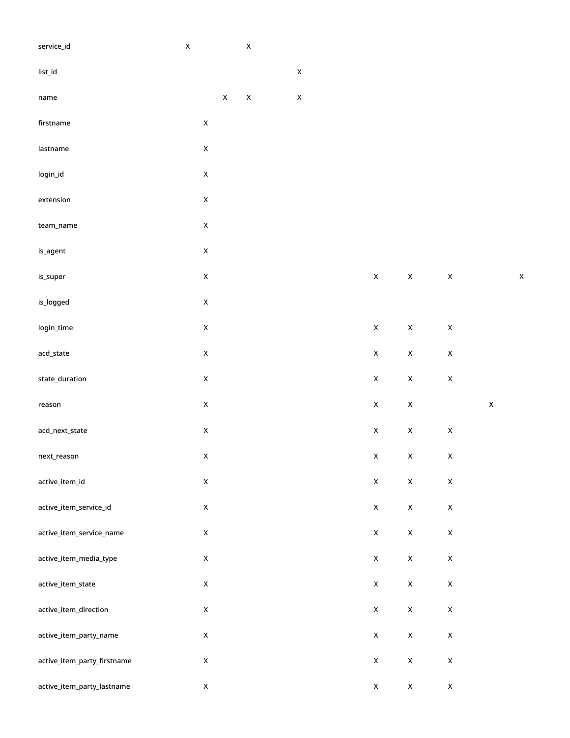| service_id                  | $\mathsf X$ |                    |             | $\mathsf X$        |                           |                           |                    |                    |             |             |
|-----------------------------|-------------|--------------------|-------------|--------------------|---------------------------|---------------------------|--------------------|--------------------|-------------|-------------|
| list_id                     |             |                    |             |                    | $\mathsf X$               |                           |                    |                    |             |             |
| name                        |             |                    | $\mathsf X$ | $\pmb{\mathsf{X}}$ | $\boldsymbol{\mathsf{X}}$ |                           |                    |                    |             |             |
| firstname                   |             | $\pmb{\mathsf{X}}$ |             |                    |                           |                           |                    |                    |             |             |
| lastname                    |             | $\pmb{\mathsf{X}}$ |             |                    |                           |                           |                    |                    |             |             |
| login_id                    |             | $\pmb{\mathsf{X}}$ |             |                    |                           |                           |                    |                    |             |             |
| extension                   |             | $\pmb{\mathsf{X}}$ |             |                    |                           |                           |                    |                    |             |             |
| team_name                   |             | $\mathsf X$        |             |                    |                           |                           |                    |                    |             |             |
| is_agent                    |             | $\pmb{\mathsf{X}}$ |             |                    |                           |                           |                    |                    |             |             |
| is_super                    |             | $\mathsf X$        |             |                    |                           | $\pmb{\mathsf{X}}$        | $\mathsf X$        | $\mathsf X$        |             | $\mathsf X$ |
| is_logged                   |             | $\pmb{\mathsf{X}}$ |             |                    |                           |                           |                    |                    |             |             |
| login_time                  |             | $\pmb{\mathsf{X}}$ |             |                    |                           | $\pmb{\mathsf{X}}$        | $\pmb{\mathsf{X}}$ | $\pmb{\mathsf{X}}$ |             |             |
| acd_state                   |             | $\mathsf X$        |             |                    |                           | $\pmb{\mathsf{X}}$        | $\pmb{\mathsf{X}}$ | $\pmb{\mathsf{X}}$ |             |             |
| state_duration              |             | $\mathsf X$        |             |                    |                           | $\pmb{\mathsf{X}}$        | $\pmb{\mathsf{X}}$ | $\pmb{\mathsf{X}}$ |             |             |
| reason                      |             | $\mathsf X$        |             |                    |                           | $\pmb{\mathsf{X}}$        | $\pmb{\mathsf{X}}$ |                    | $\mathsf X$ |             |
| acd_next_state              |             | $\pmb{\mathsf{X}}$ |             |                    |                           | $\pmb{\mathsf{X}}$        | $\pmb{\mathsf{X}}$ | $\mathsf X$        |             |             |
| next_reason                 |             | $\mathsf X$        |             |                    |                           | $\boldsymbol{\mathsf{X}}$ | $\mathsf{X}^-$     | $\mathsf X$        |             |             |
| active_item_id              |             | $\mathsf X$        |             |                    |                           | $\mathsf X$               | $\mathsf X$        | $\mathsf X$        |             |             |
| active_item_service_id      |             | $\mathsf X$        |             |                    |                           | $\pmb{\mathsf{X}}$        | $\mathsf X$        | $\pmb{\mathsf{X}}$ |             |             |
| active_item_service_name    |             | $\mathsf X$        |             |                    |                           | $\mathsf X$               | $\mathsf X$        | $\pmb{\mathsf{X}}$ |             |             |
| active_item_media_type      |             | $\mathsf X$        |             |                    |                           | $\mathsf X$               | $\mathsf X$        | $\mathsf X$        |             |             |
| active_item_state           |             | $\mathsf X$        |             |                    |                           | $\pmb{\mathsf{X}}$        | $\mathsf X$        | $\pmb{\mathsf{X}}$ |             |             |
| active_item_direction       |             | $\mathsf X$        |             |                    |                           | $\mathsf X$               | $\mathsf X$        | $\pmb{\mathsf{X}}$ |             |             |
| active_item_party_name      |             | $\mathsf X$        |             |                    |                           | $\mathsf X$               | $\mathsf X$        | $\pmb{\mathsf{X}}$ |             |             |
| active_item_party_firstname |             | $\mathsf X$        |             |                    |                           | $\mathsf X$               | $\mathsf X$        | $\pmb{\mathsf{X}}$ |             |             |
| active_item_party_lastname  |             | $\mathsf X$        |             |                    |                           | $\mathsf X$               | $\mathsf X$        | $\mathsf X$        |             |             |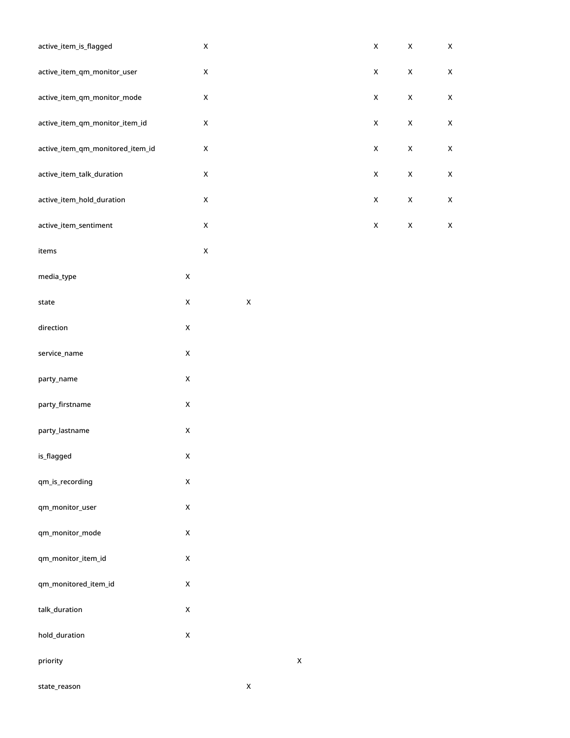| active_item_is_flagged           |                    | $\pmb{\mathsf{X}}$ |                    |                    | $\pmb{\mathsf{X}}$ | $\pmb{\mathsf{X}}$ | $\pmb{\mathsf{X}}$ |
|----------------------------------|--------------------|--------------------|--------------------|--------------------|--------------------|--------------------|--------------------|
| active_item_qm_monitor_user      |                    | $\pmb{\mathsf{X}}$ |                    |                    | $\pmb{\mathsf{X}}$ | $\pmb{\mathsf{X}}$ | $\mathsf X$        |
| active_item_qm_monitor_mode      |                    | $\pmb{\mathsf{X}}$ |                    |                    | $\pmb{\mathsf{X}}$ | $\pmb{\mathsf{X}}$ | $\mathsf X$        |
| active_item_qm_monitor_item_id   |                    | $\pmb{\mathsf{X}}$ |                    |                    | $\pmb{\mathsf{X}}$ | $\pmb{\mathsf{X}}$ | $\mathsf X$        |
| active_item_qm_monitored_item_id |                    | $\pmb{\mathsf{X}}$ |                    |                    | $\mathsf X$        | $\mathsf X$        | $\pmb{\times}$     |
| active_item_talk_duration        |                    | $\pmb{\mathsf{X}}$ |                    |                    | $\pmb{\mathsf{X}}$ | $\pmb{\mathsf{X}}$ | $\mathsf X$        |
| active_item_hold_duration        |                    | $\pmb{\mathsf{X}}$ |                    |                    | $\pmb{\mathsf{X}}$ | $\pmb{\mathsf{X}}$ | $\mathsf X$        |
| active_item_sentiment            |                    | $\pmb{\mathsf{X}}$ |                    |                    | $\pmb{\mathsf{X}}$ | $\pmb{\mathsf{X}}$ | $\mathsf X$        |
| items                            |                    | $\pmb{\mathsf{X}}$ |                    |                    |                    |                    |                    |
| media_type                       | $\pmb{\mathsf{X}}$ |                    |                    |                    |                    |                    |                    |
| ${\sf state}$                    | $\mathsf X$        |                    | $\pmb{\mathsf{X}}$ |                    |                    |                    |                    |
| direction                        | $\mathsf X$        |                    |                    |                    |                    |                    |                    |
| service_name                     | $\pmb{\mathsf{X}}$ |                    |                    |                    |                    |                    |                    |
| party_name                       | $\pmb{\mathsf{X}}$ |                    |                    |                    |                    |                    |                    |
| party_firstname                  | $\pmb{\mathsf{X}}$ |                    |                    |                    |                    |                    |                    |
| party_lastname                   | $\mathsf X$        |                    |                    |                    |                    |                    |                    |
| is_flagged                       | $\pmb{\mathsf{x}}$ |                    |                    |                    |                    |                    |                    |
| qm_is_recording                  | $\pmb{\mathsf{X}}$ |                    |                    |                    |                    |                    |                    |
| qm_monitor_user                  | $\mathsf X$        |                    |                    |                    |                    |                    |                    |
| qm_monitor_mode                  | $\pmb{\mathsf{X}}$ |                    |                    |                    |                    |                    |                    |
| qm_monitor_item_id               | $\mathsf X$        |                    |                    |                    |                    |                    |                    |
| qm_monitored_item_id             | $\pmb{\mathsf{X}}$ |                    |                    |                    |                    |                    |                    |
| talk_duration                    | $\pmb{\mathsf{X}}$ |                    |                    |                    |                    |                    |                    |
| hold_duration                    | $\mathsf X$        |                    |                    |                    |                    |                    |                    |
| priority                         |                    |                    |                    | $\pmb{\mathsf{X}}$ |                    |                    |                    |
| state_reason                     |                    |                    | $\pmb{\mathsf{X}}$ |                    |                    |                    |                    |